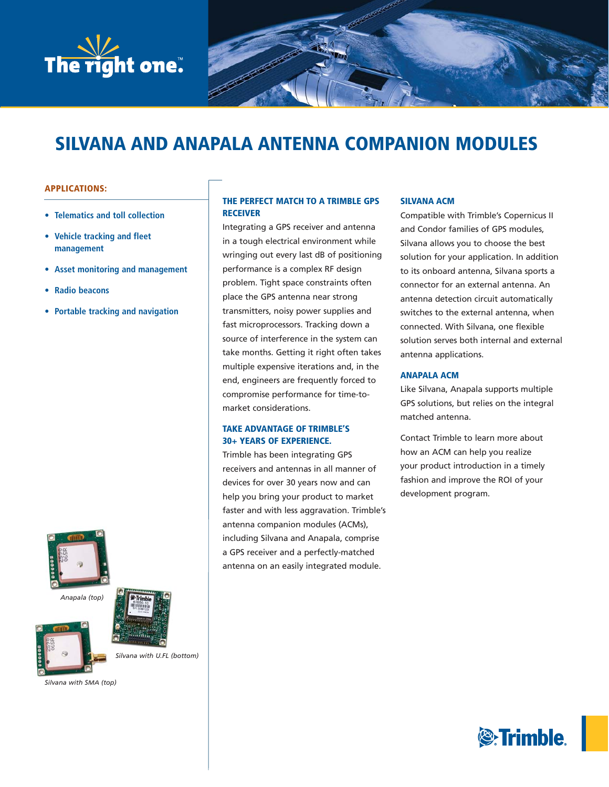

# **SILVANA AND ANAPALA ANTENNA COMPANION MODULES**

# **APPLICATIONS:**

- **Telematics and toll collection**
- **Vehicle tracking and fleet management**
- **Asset monitoring and management**
- **Radio beacons**
- **Portable tracking and navigation**







*Silvana with SMA (top)* 

# **THE PERFECT MATCH TO A TRIMBLE GPS RECEIVER**

Integrating a GPS receiver and antenna in a tough electrical environment while wringing out every last dB of positioning performance is a complex RF design problem. Tight space constraints often place the GPS antenna near strong transmitters, noisy power supplies and fast microprocessors. Tracking down a source of interference in the system can take months. Getting it right often takes multiple expensive iterations and, in the end, engineers are frequently forced to compromise performance for time-tomarket considerations.

# **TAKE ADVANTAGE OF TRIMBLE'S 30+ YEARS OF EXPERIENCE.**

Trimble has been integrating GPS receivers and antennas in all manner of devices for over 30 years now and can help you bring your product to market faster and with less aggravation. Trimble's antenna companion modules (ACMs), including Silvana and Anapala, comprise a GPS receiver and a perfectly-matched antenna on an easily integrated module.

# **SILVANA ACM**

Compatible with Trimble's Copernicus II and Condor families of GPS modules, Silvana allows you to choose the best solution for your application. In addition to its onboard antenna, Silvana sports a connector for an external antenna. An antenna detection circuit automatically switches to the external antenna, when connected. With Silvana, one flexible solution serves both internal and external antenna applications.

# **ANAPALA ACM**

Like Silvana, Anapala supports multiple GPS solutions, but relies on the integral matched antenna.

Contact Trimble to learn more about how an ACM can help you realize your product introduction in a timely fashion and improve the ROI of your development program.

# **S**Trimble